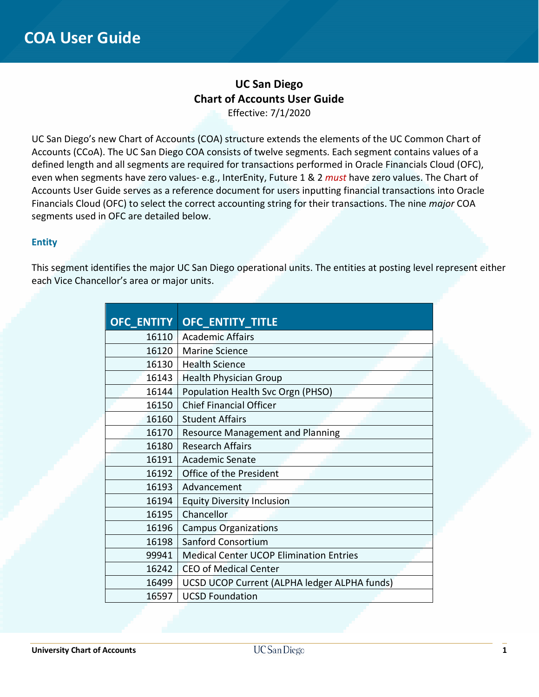## **UC San Diego Chart of Accounts User Guide** Effective: 7/1/2020

UC San Diego's new Chart of Accounts (COA) structure extends the elements of the UC Common Chart of Accounts (CCoA). The UC San Diego COA consists of twelve segments. Each segment contains values of a defined length and all segments are required for transactions performed in Oracle Financials Cloud (OFC), even when segments have zero values- e.g., InterEnity, Future 1 & 2 *must* have zero values. The Chart of Accounts User Guide serves as a reference document for users inputting financial transactions into Oracle Financials Cloud (OFC) to select the correct accounting string for their transactions. The nine *major* COA segments used in OFC are detailed below.

### **Entity**

This segment identifies the major UC San Diego operational units. The entities at posting level represent either each Vice Chancellor's area or major units.

| <b>OFC_ENTITY</b> | <b>OFC_ENTITY_TITLE</b>                        |
|-------------------|------------------------------------------------|
| 16110             | <b>Academic Affairs</b>                        |
| 16120             | <b>Marine Science</b>                          |
| 16130             | <b>Health Science</b>                          |
| 16143             | <b>Health Physician Group</b>                  |
| 16144             | Population Health Svc Orgn (PHSO)              |
| 16150             | <b>Chief Financial Officer</b>                 |
| 16160             | <b>Student Affairs</b>                         |
| 16170             | <b>Resource Management and Planning</b>        |
| 16180             | <b>Research Affairs</b>                        |
| 16191             | <b>Academic Senate</b>                         |
| 16192             | Office of the President                        |
| 16193             | Advancement                                    |
| 16194             | <b>Equity Diversity Inclusion</b>              |
| 16195             | Chancellor                                     |
| 16196             | <b>Campus Organizations</b>                    |
| 16198             | Sanford Consortium                             |
| 99941             | <b>Medical Center UCOP Elimination Entries</b> |
| 16242             | <b>CEO of Medical Center</b>                   |
| 16499             | UCSD UCOP Current (ALPHA ledger ALPHA funds)   |
| 16597             | <b>UCSD Foundation</b>                         |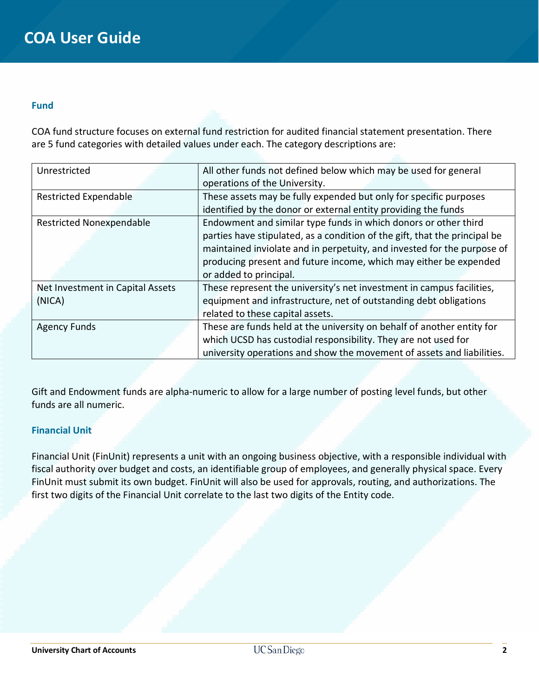#### **Fund**

COA fund structure focuses on external fund restriction for audited financial statement presentation. There are 5 fund categories with detailed values under each. The category descriptions are:

| Unrestricted                     | All other funds not defined below which may be used for general<br>operations of the University. |  |
|----------------------------------|--------------------------------------------------------------------------------------------------|--|
|                                  |                                                                                                  |  |
| <b>Restricted Expendable</b>     | These assets may be fully expended but only for specific purposes                                |  |
|                                  | identified by the donor or external entity providing the funds                                   |  |
| <b>Restricted Nonexpendable</b>  | Endowment and similar type funds in which donors or other third                                  |  |
|                                  | parties have stipulated, as a condition of the gift, that the principal be                       |  |
|                                  | maintained inviolate and in perpetuity, and invested for the purpose of                          |  |
|                                  | producing present and future income, which may either be expended                                |  |
|                                  | or added to principal.                                                                           |  |
| Net Investment in Capital Assets | These represent the university's net investment in campus facilities,                            |  |
| (NICA)                           | equipment and infrastructure, net of outstanding debt obligations                                |  |
|                                  | related to these capital assets.                                                                 |  |
| <b>Agency Funds</b>              | These are funds held at the university on behalf of another entity for                           |  |
|                                  | which UCSD has custodial responsibility. They are not used for                                   |  |
|                                  | university operations and show the movement of assets and liabilities.                           |  |

Gift and Endowment funds are alpha-numeric to allow for a large number of posting level funds, but other funds are all numeric.

### **Financial Unit**

Financial Unit (FinUnit) represents a unit with an ongoing business objective, with a responsible individual with fiscal authority over budget and costs, an identifiable group of employees, and generally physical space. Every FinUnit must submit its own budget. FinUnit will also be used for approvals, routing, and authorizations. The first two digits of the Financial Unit correlate to the last two digits of the Entity code.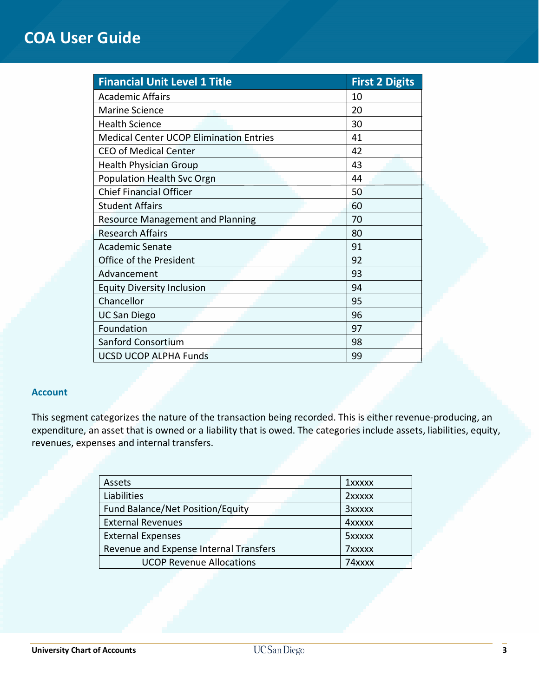| <b>Financial Unit Level 1 Title</b>            | <b>First 2 Digits</b> |
|------------------------------------------------|-----------------------|
| <b>Academic Affairs</b>                        | 10                    |
| Marine Science                                 | 20                    |
| <b>Health Science</b>                          | 30                    |
| <b>Medical Center UCOP Elimination Entries</b> | 41                    |
| <b>CEO of Medical Center</b>                   | 42                    |
| <b>Health Physician Group</b>                  | 43                    |
| Population Health Svc Orgn                     | 44                    |
| <b>Chief Financial Officer</b>                 | 50                    |
| <b>Student Affairs</b>                         | 60                    |
| <b>Resource Management and Planning</b>        | 70                    |
| <b>Research Affairs</b>                        | 80                    |
| <b>Academic Senate</b>                         | 91                    |
| Office of the President                        | 92                    |
| Advancement                                    | 93                    |
| <b>Equity Diversity Inclusion</b>              | 94                    |
| Chancellor                                     | 95                    |
| <b>UC San Diego</b>                            | 96                    |
| Foundation                                     | 97                    |
| Sanford Consortium                             | 98                    |
| <b>UCSD UCOP ALPHA Funds</b>                   | 99                    |

### **Account**

This segment categorizes the nature of the transaction being recorded. This is either revenue-producing, an expenditure, an asset that is owned or a liability that is owed. The categories include assets, liabilities, equity, revenues, expenses and internal transfers.

| Assets                                 | <b>1xxxxx</b> |
|----------------------------------------|---------------|
| Liabilities                            | 2xxxxx        |
| Fund Balance/Net Position/Equity       | <b>3xxxxx</b> |
| <b>External Revenues</b>               | <b>4xxxxx</b> |
| <b>External Expenses</b>               | 5xxxxx        |
| Revenue and Expense Internal Transfers | 7xxxxx        |
| <b>UCOP Revenue Allocations</b>        | 74xxxx        |
|                                        |               |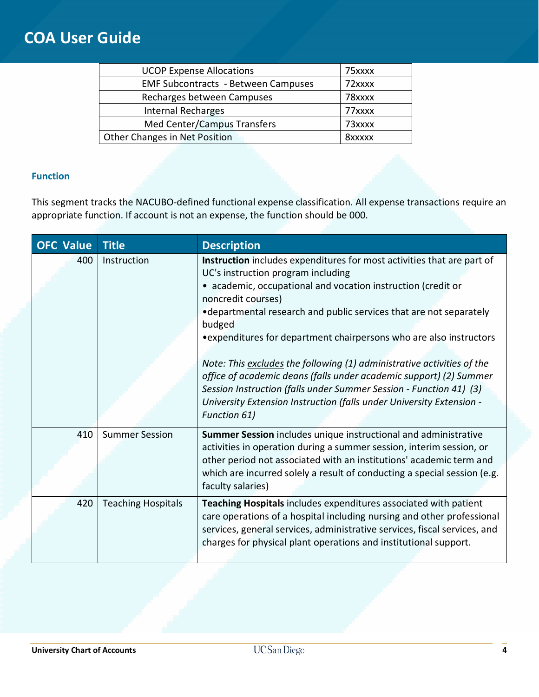| <b>UCOP Expense Allocations</b>            | 75xxxx |
|--------------------------------------------|--------|
| <b>EMF Subcontracts - Between Campuses</b> | 72xxxx |
| Recharges between Campuses                 | 78xxxx |
| <b>Internal Recharges</b>                  | 77xxxx |
| Med Center/Campus Transfers                | 73xxxx |
| Other Changes in Net Position              | 8xxxxx |

## **Function**

This segment tracks the NACUBO-defined functional expense classification. All expense transactions require an appropriate function. If account is not an expense, the function should be 000.

| <b>OFC Value</b> | <b>Title</b>              | <b>Description</b>                                                                                                                                                                                                                                                                                                                                                                                                                                                                                                                                                                                                                                                              |
|------------------|---------------------------|---------------------------------------------------------------------------------------------------------------------------------------------------------------------------------------------------------------------------------------------------------------------------------------------------------------------------------------------------------------------------------------------------------------------------------------------------------------------------------------------------------------------------------------------------------------------------------------------------------------------------------------------------------------------------------|
| 400              | Instruction               | Instruction includes expenditures for most activities that are part of<br>UC's instruction program including<br>• academic, occupational and vocation instruction (credit or<br>noncredit courses)<br>• departmental research and public services that are not separately<br>budged<br>• expenditures for department chairpersons who are also instructors<br>Note: This excludes the following (1) administrative activities of the<br>office of academic deans (falls under academic support) (2) Summer<br>Session Instruction (falls under Summer Session - Function 41) (3)<br>University Extension Instruction (falls under University Extension -<br><b>Function 61)</b> |
| 410              | <b>Summer Session</b>     | Summer Session includes unique instructional and administrative<br>activities in operation during a summer session, interim session, or<br>other period not associated with an institutions' academic term and<br>which are incurred solely a result of conducting a special session (e.g.<br>faculty salaries)                                                                                                                                                                                                                                                                                                                                                                 |
| 420              | <b>Teaching Hospitals</b> | Teaching Hospitals includes expenditures associated with patient<br>care operations of a hospital including nursing and other professional<br>services, general services, administrative services, fiscal services, and<br>charges for physical plant operations and institutional support.                                                                                                                                                                                                                                                                                                                                                                                     |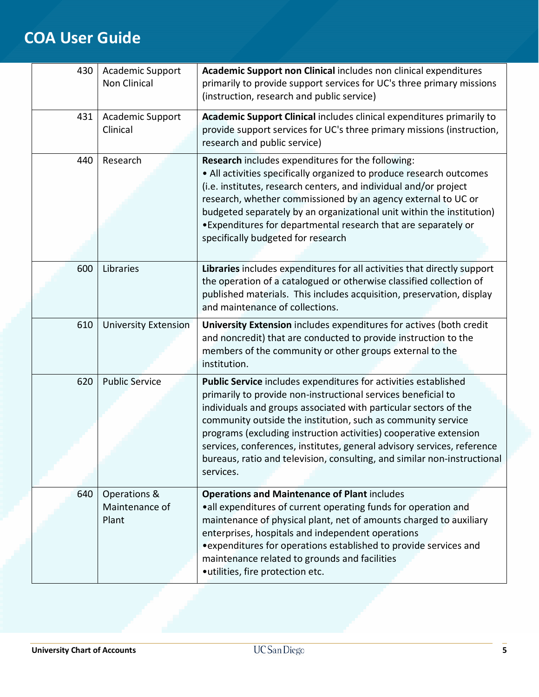| 430 | Academic Support<br><b>Non Clinical</b> | Academic Support non Clinical includes non clinical expenditures<br>primarily to provide support services for UC's three primary missions<br>(instruction, research and public service)                                                                                                                                                                                                                                                                                                                       |
|-----|-----------------------------------------|---------------------------------------------------------------------------------------------------------------------------------------------------------------------------------------------------------------------------------------------------------------------------------------------------------------------------------------------------------------------------------------------------------------------------------------------------------------------------------------------------------------|
| 431 | Academic Support<br>Clinical            | Academic Support Clinical includes clinical expenditures primarily to<br>provide support services for UC's three primary missions (instruction,<br>research and public service)                                                                                                                                                                                                                                                                                                                               |
| 440 | Research                                | Research includes expenditures for the following:<br>• All activities specifically organized to produce research outcomes<br>(i.e. institutes, research centers, and individual and/or project<br>research, whether commissioned by an agency external to UC or<br>budgeted separately by an organizational unit within the institution)<br>. Expenditures for departmental research that are separately or<br>specifically budgeted for research                                                             |
| 600 | Libraries                               | Libraries includes expenditures for all activities that directly support<br>the operation of a catalogued or otherwise classified collection of<br>published materials. This includes acquisition, preservation, display<br>and maintenance of collections.                                                                                                                                                                                                                                                   |
| 610 | <b>University Extension</b>             | University Extension includes expenditures for actives (both credit<br>and noncredit) that are conducted to provide instruction to the<br>members of the community or other groups external to the<br>institution.                                                                                                                                                                                                                                                                                            |
| 620 | <b>Public Service</b>                   | Public Service includes expenditures for activities established<br>primarily to provide non-instructional services beneficial to<br>individuals and groups associated with particular sectors of the<br>community outside the institution, such as community service<br>programs (excluding instruction activities) cooperative extension<br>services, conferences, institutes, general advisory services, reference<br>bureaus, ratio and television, consulting, and similar non-instructional<br>services. |
| 640 | Operations &<br>Maintenance of<br>Plant | <b>Operations and Maintenance of Plant includes</b><br>• all expenditures of current operating funds for operation and<br>maintenance of physical plant, net of amounts charged to auxiliary<br>enterprises, hospitals and independent operations<br>• expenditures for operations established to provide services and<br>maintenance related to grounds and facilities<br>·utilities, fire protection etc.                                                                                                   |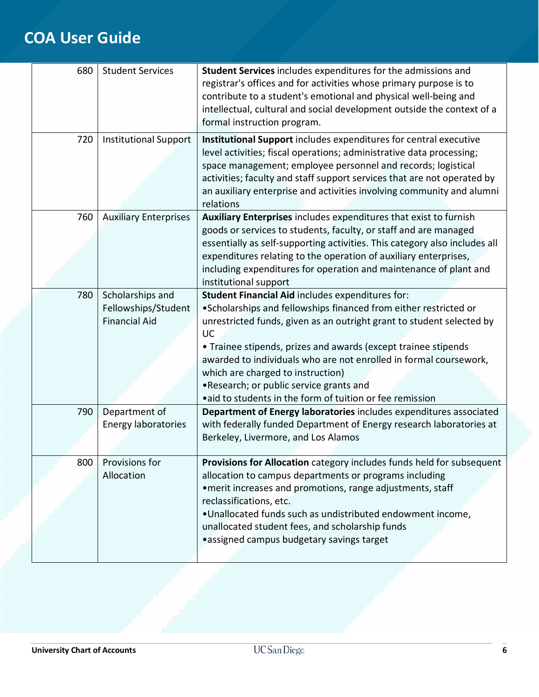| 680 | <b>Student Services</b>                                         | Student Services includes expenditures for the admissions and<br>registrar's offices and for activities whose primary purpose is to<br>contribute to a student's emotional and physical well-being and<br>intellectual, cultural and social development outside the context of a<br>formal instruction program.                                                                                                                                                                           |
|-----|-----------------------------------------------------------------|-------------------------------------------------------------------------------------------------------------------------------------------------------------------------------------------------------------------------------------------------------------------------------------------------------------------------------------------------------------------------------------------------------------------------------------------------------------------------------------------|
| 720 | <b>Institutional Support</b>                                    | Institutional Support includes expenditures for central executive<br>level activities; fiscal operations; administrative data processing;<br>space management; employee personnel and records; logistical<br>activities; faculty and staff support services that are not operated by<br>an auxiliary enterprise and activities involving community and alumni<br>relations                                                                                                                |
| 760 | <b>Auxiliary Enterprises</b>                                    | Auxiliary Enterprises includes expenditures that exist to furnish<br>goods or services to students, faculty, or staff and are managed<br>essentially as self-supporting activities. This category also includes all<br>expenditures relating to the operation of auxiliary enterprises,<br>including expenditures for operation and maintenance of plant and<br>institutional support                                                                                                     |
| 780 | Scholarships and<br>Fellowships/Student<br><b>Financial Aid</b> | Student Financial Aid includes expenditures for:<br>. Scholarships and fellowships financed from either restricted or<br>unrestricted funds, given as an outright grant to student selected by<br>UC<br>• Trainee stipends, prizes and awards (except trainee stipends<br>awarded to individuals who are not enrolled in formal coursework,<br>which are charged to instruction)<br>. Research; or public service grants and<br>• aid to students in the form of tuition or fee remission |
| 790 | Department of<br>Energy laboratories                            | Department of Energy laboratories includes expenditures associated<br>with federally funded Department of Energy research laboratories at<br>Berkeley, Livermore, and Los Alamos                                                                                                                                                                                                                                                                                                          |
| 800 | Provisions for<br>Allocation                                    | Provisions for Allocation category includes funds held for subsequent<br>allocation to campus departments or programs including<br>• merit increases and promotions, range adjustments, staff<br>reclassifications, etc.<br>. Unallocated funds such as undistributed endowment income,<br>unallocated student fees, and scholarship funds<br>•assigned campus budgetary savings target                                                                                                   |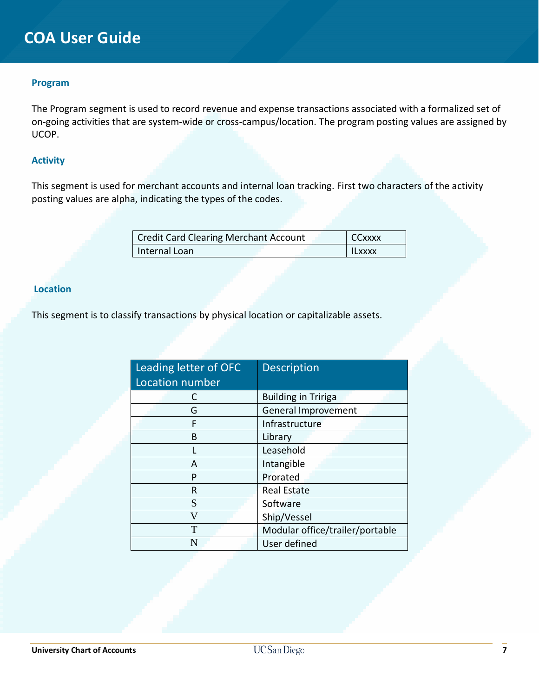#### **Program**

The Program segment is used to record revenue and expense transactions associated with a formalized set of on-going activities that are system-wide or cross-campus/location. The program posting values are assigned by UCOP.

### **Activity**

This segment is used for merchant accounts and internal loan tracking. First two characters of the activity posting values are alpha, indicating the types of the codes.

| <b>Credit Card Clearing Merchant Account</b> |  | <b>CCxxxx</b> |
|----------------------------------------------|--|---------------|
| Internal Loan                                |  | <b>ILXXXX</b> |

## **Location**

This segment is to classify transactions by physical location or capitalizable assets.

| Leading letter of OFC | <b>Description</b>              |
|-----------------------|---------------------------------|
| Location number       |                                 |
|                       | <b>Building in Tririga</b>      |
| G                     | General Improvement             |
| F                     | Infrastructure                  |
| B                     | Library                         |
|                       | Leasehold                       |
| A                     | Intangible                      |
| P                     | Prorated                        |
| R                     | <b>Real Estate</b>              |
| S                     | Software                        |
| V                     | Ship/Vessel                     |
| T                     | Modular office/trailer/portable |
|                       | User defined                    |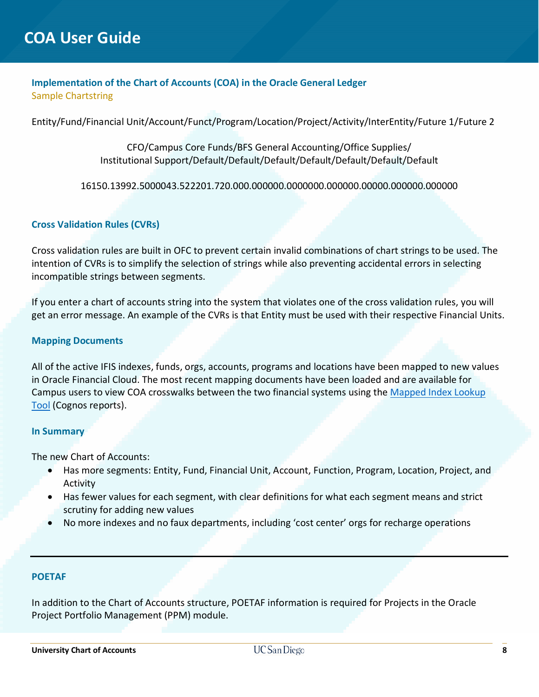## **Implementation of the Chart of Accounts (COA) in the Oracle General Ledger** Sample Chartstring

Entity/Fund/Financial Unit/Account/Funct/Program/Location/Project/Activity/InterEntity/Future 1/Future 2

CFO/Campus Core Funds/BFS General Accounting/Office Supplies/ Institutional Support/Default/Default/Default/Default/Default/Default/Default

16150.13992.5000043.522201.720.000.000000.0000000.000000.00000.000000.000000

### **Cross Validation Rules (CVRs)**

Cross validation rules are built in OFC to prevent certain invalid combinations of chart strings to be used. The intention of CVRs is to simplify the selection of strings while also preventing accidental errors in selecting incompatible strings between segments.

If you enter a chart of accounts string into the system that violates one of the cross validation rules, you will get an error message. An example of the CVRs is that Entity must be used with their respective Financial Units.

#### **Mapping Documents**

All of the active IFIS indexes, funds, orgs, accounts, programs and locations have been mapped to new values in Oracle Financial Cloud. The most recent mapping documents have been loaded and are available for Campus users to view COA crosswalks between the two financial systems using the [Mapped Index Lookup](https://bianalytics.ucsd.edu/ibmcognos/bi/?pathRef=.public_folders%2FCOA%2BMapping%2BExploration%2FReports%2FOFC%2BIndex%2BLookup%2B-%2BCampus%2BView)  [Tool](https://bianalytics.ucsd.edu/ibmcognos/bi/?pathRef=.public_folders%2FCOA%2BMapping%2BExploration%2FReports%2FOFC%2BIndex%2BLookup%2B-%2BCampus%2BView) (Cognos reports).

#### **In Summary**

The new Chart of Accounts:

- Has more segments: Entity, Fund, Financial Unit, Account, Function, Program, Location, Project, and Activity
- Has fewer values for each segment, with clear definitions for what each segment means and strict scrutiny for adding new values
- No more indexes and no faux departments, including 'cost center' orgs for recharge operations

#### **POETAF**

In addition to the Chart of Accounts structure, POETAF information is required for Projects in the Oracle Project Portfolio Management (PPM) module.